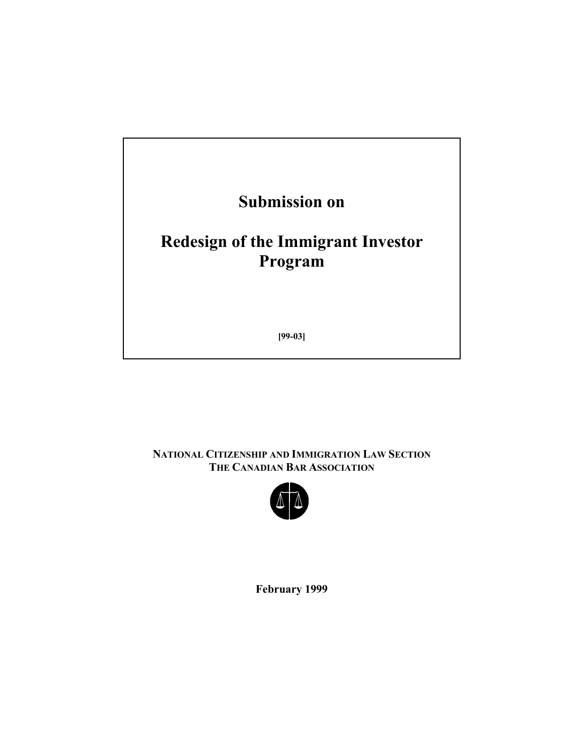

**NATIONAL CITIZENSHIP AND IMMIGRATION LAW SECTION THE CANADIAN BAR ASSOCIATION** 



**February 1999**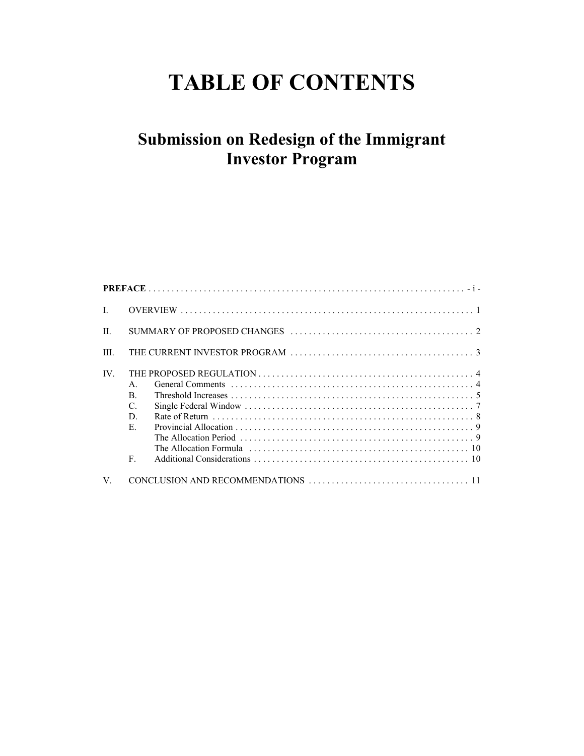# **TABLE OF CONTENTS**

# **Submission on Redesign of the Immigrant Investor Program**

| $\mathbf{I}$ |                                                                              |
|--------------|------------------------------------------------------------------------------|
| $\mathbf{H}$ |                                                                              |
| Ш            | THE CURRENT INVESTOR PROGRAM                                                 |
| IV.          | $\mathsf{A}$<br>$\mathbf{B}$ .<br>$\mathcal{C}$ .<br>D.<br>E.<br>$F_{\cdot}$ |
|              |                                                                              |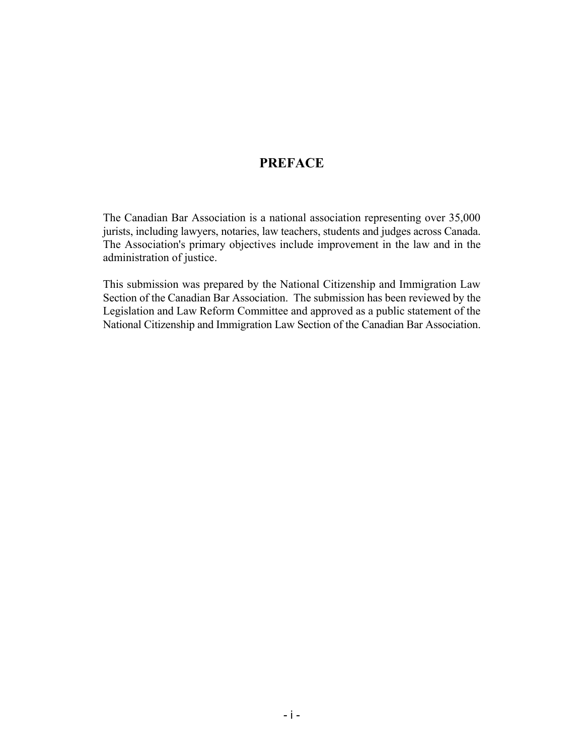#### **PREFACE**

The Canadian Bar Association is a national association representing over 35,000 jurists, including lawyers, notaries, law teachers, students and judges across Canada. The Association's primary objectives include improvement in the law and in the administration of justice.

This submission was prepared by the National Citizenship and Immigration Law Section of the Canadian Bar Association. The submission has been reviewed by the Legislation and Law Reform Committee and approved as a public statement of the National Citizenship and Immigration Law Section of the Canadian Bar Association.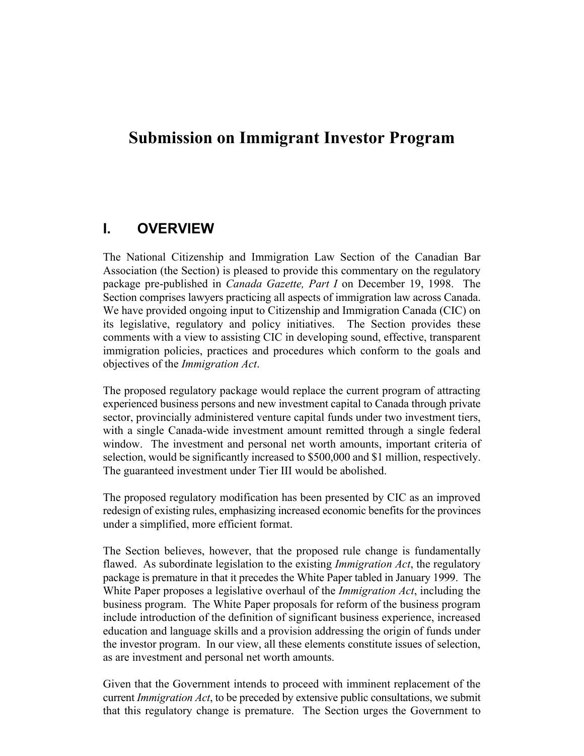# **Submission on Immigrant Investor Program**

#### **I. OVERVIEW**

The National Citizenship and Immigration Law Section of the Canadian Bar Association (the Section) is pleased to provide this commentary on the regulatory package pre-published in *Canada Gazette, Part I* on December 19, 1998. The Section comprises lawyers practicing all aspects of immigration law across Canada. We have provided ongoing input to Citizenship and Immigration Canada (CIC) on its legislative, regulatory and policy initiatives. The Section provides these comments with a view to assisting CIC in developing sound, effective, transparent immigration policies, practices and procedures which conform to the goals and objectives of the *Immigration Act*.

The proposed regulatory package would replace the current program of attracting experienced business persons and new investment capital to Canada through private sector, provincially administered venture capital funds under two investment tiers, with a single Canada-wide investment amount remitted through a single federal window. The investment and personal net worth amounts, important criteria of selection, would be significantly increased to \$500,000 and \$1 million, respectively. The guaranteed investment under Tier III would be abolished.

The proposed regulatory modification has been presented by CIC as an improved redesign of existing rules, emphasizing increased economic benefits for the provinces under a simplified, more efficient format.

The Section believes, however, that the proposed rule change is fundamentally flawed. As subordinate legislation to the existing *Immigration Act*, the regulatory package is premature in that it precedes the White Paper tabled in January 1999. The White Paper proposes a legislative overhaul of the *Immigration Act*, including the business program. The White Paper proposals for reform of the business program include introduction of the definition of significant business experience, increased education and language skills and a provision addressing the origin of funds under the investor program. In our view, all these elements constitute issues of selection, as are investment and personal net worth amounts.

Given that the Government intends to proceed with imminent replacement of the current *Immigration Act*, to be preceded by extensive public consultations, we submit that this regulatory change is premature. The Section urges the Government to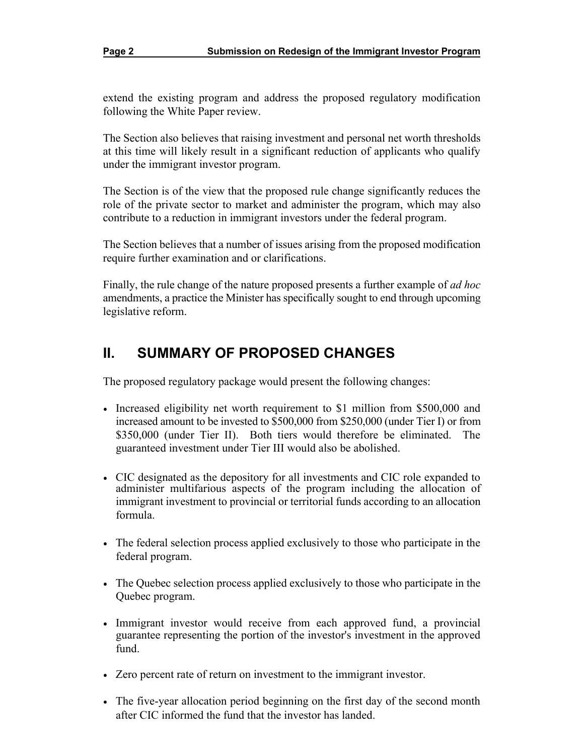extend the existing program and address the proposed regulatory modification following the White Paper review.

The Section also believes that raising investment and personal net worth thresholds at this time will likely result in a significant reduction of applicants who qualify under the immigrant investor program.

The Section is of the view that the proposed rule change significantly reduces the role of the private sector to market and administer the program, which may also contribute to a reduction in immigrant investors under the federal program.

The Section believes that a number of issues arising from the proposed modification require further examination and or clarifications.

Finally, the rule change of the nature proposed presents a further example of *ad hoc*  amendments, a practice the Minister has specifically sought to end through upcoming legislative reform.

# **II. SUMMARY OF PROPOSED CHANGES**

The proposed regulatory package would present the following changes:

- Increased eligibility net worth requirement to \$1 million from \$500,000 and increased amount to be invested to \$500,000 from \$250,000 (under Tier I) or from \$350,000 (under Tier II). Both tiers would therefore be eliminated. The guaranteed investment under Tier III would also be abolished.
- CIC designated as the depository for all investments and CIC role expanded to administer multifarious aspects of the program including the allocation of immigrant investment to provincial or territorial funds according to an allocation formula.
- The federal selection process applied exclusively to those who participate in the federal program.
- The Quebec selection process applied exclusively to those who participate in the Quebec program.
- Immigrant investor would receive from each approved fund, a provincial guarantee representing the portion of the investor's investment in the approved fund.
- Zero percent rate of return on investment to the immigrant investor.
- The five-year allocation period beginning on the first day of the second month after CIC informed the fund that the investor has landed.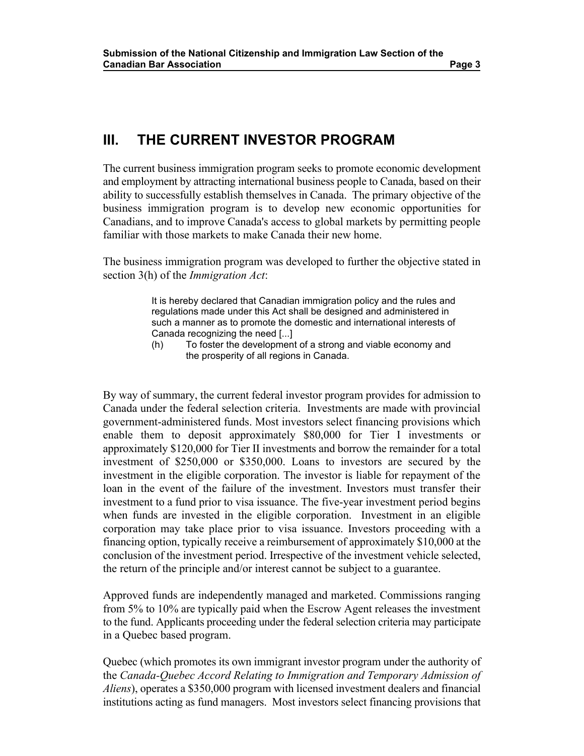### **III. THE CURRENT INVESTOR PROGRAM**

The current business immigration program seeks to promote economic development and employment by attracting international business people to Canada, based on their ability to successfully establish themselves in Canada. The primary objective of the business immigration program is to develop new economic opportunities for Canadians, and to improve Canada's access to global markets by permitting people familiar with those markets to make Canada their new home.

The business immigration program was developed to further the objective stated in section 3(h) of the *Immigration Act*:

> It is hereby declared that Canadian immigration policy and the rules and regulations made under this Act shall be designed and administered in such a manner as to promote the domestic and international interests of Canada recognizing the need [...]

(h) To foster the development of a strong and viable economy and the prosperity of all regions in Canada.

By way of summary, the current federal investor program provides for admission to Canada under the federal selection criteria. Investments are made with provincial government-administered funds. Most investors select financing provisions which enable them to deposit approximately \$80,000 for Tier I investments or approximately \$120,000 for Tier II investments and borrow the remainder for a total investment of \$250,000 or \$350,000. Loans to investors are secured by the investment in the eligible corporation. The investor is liable for repayment of the loan in the event of the failure of the investment. Investors must transfer their investment to a fund prior to visa issuance. The five-year investment period begins when funds are invested in the eligible corporation. Investment in an eligible corporation may take place prior to visa issuance. Investors proceeding with a financing option, typically receive a reimbursement of approximately \$10,000 at the conclusion of the investment period. Irrespective of the investment vehicle selected, the return of the principle and/or interest cannot be subject to a guarantee.

Approved funds are independently managed and marketed. Commissions ranging from 5% to 10% are typically paid when the Escrow Agent releases the investment to the fund. Applicants proceeding under the federal selection criteria may participate in a Quebec based program.

Quebec (which promotes its own immigrant investor program under the authority of the *Canada-Quebec Accord Relating to Immigration and Temporary Admission of Aliens*), operates a \$350,000 program with licensed investment dealers and financial institutions acting as fund managers. Most investors select financing provisions that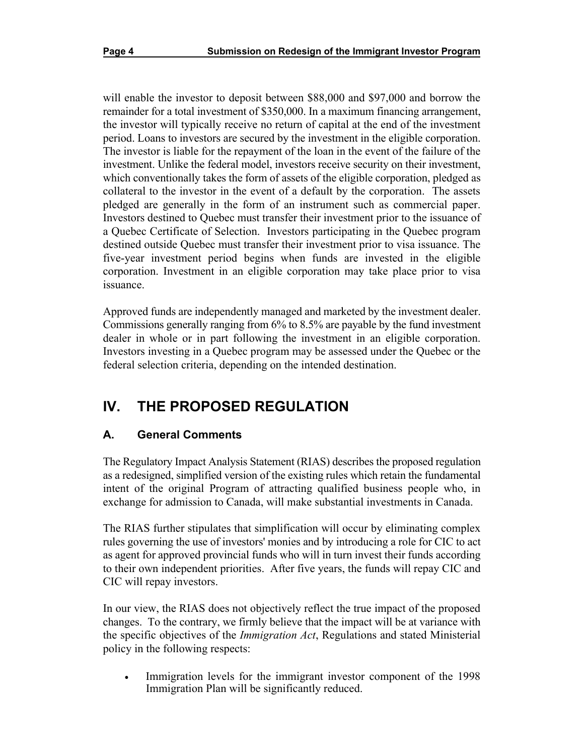will enable the investor to deposit between \$88,000 and \$97,000 and borrow the remainder for a total investment of \$350,000. In a maximum financing arrangement, the investor will typically receive no return of capital at the end of the investment period. Loans to investors are secured by the investment in the eligible corporation. The investor is liable for the repayment of the loan in the event of the failure of the investment. Unlike the federal model, investors receive security on their investment, which conventionally takes the form of assets of the eligible corporation, pledged as collateral to the investor in the event of a default by the corporation. The assets pledged are generally in the form of an instrument such as commercial paper. Investors destined to Quebec must transfer their investment prior to the issuance of a Quebec Certificate of Selection. Investors participating in the Quebec program destined outside Quebec must transfer their investment prior to visa issuance. The five-year investment period begins when funds are invested in the eligible corporation. Investment in an eligible corporation may take place prior to visa issuance.

Approved funds are independently managed and marketed by the investment dealer. Commissions generally ranging from 6% to 8.5% are payable by the fund investment dealer in whole or in part following the investment in an eligible corporation. Investors investing in a Quebec program may be assessed under the Quebec or the federal selection criteria, depending on the intended destination.

# **IV. THE PROPOSED REGULATION**

#### **A. General Comments**

The Regulatory Impact Analysis Statement (RIAS) describes the proposed regulation as a redesigned, simplified version of the existing rules which retain the fundamental intent of the original Program of attracting qualified business people who, in exchange for admission to Canada, will make substantial investments in Canada.

The RIAS further stipulates that simplification will occur by eliminating complex rules governing the use of investors' monies and by introducing a role for CIC to act as agent for approved provincial funds who will in turn invest their funds according to their own independent priorities. After five years, the funds will repay CIC and CIC will repay investors.

In our view, the RIAS does not objectively reflect the true impact of the proposed changes. To the contrary, we firmly believe that the impact will be at variance with the specific objectives of the *Immigration Act*, Regulations and stated Ministerial policy in the following respects:

Immigration levels for the immigrant investor component of the 1998 Immigration Plan will be significantly reduced.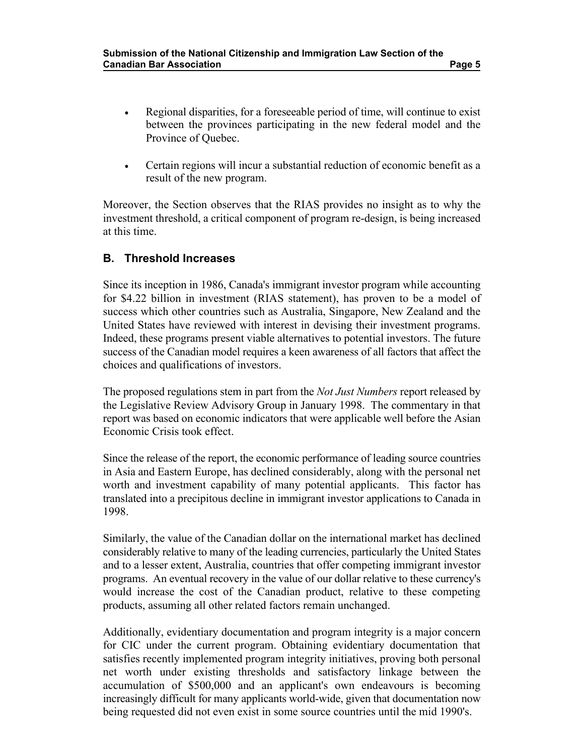- Regional disparities, for a foreseeable period of time, will continue to exist between the provinces participating in the new federal model and the Province of Quebec.
- Certain regions will incur a substantial reduction of economic benefit as a result of the new program.

Moreover, the Section observes that the RIAS provides no insight as to why the investment threshold, a critical component of program re-design, is being increased at this time.

#### **B. Threshold Increases**

Since its inception in 1986, Canada's immigrant investor program while accounting for \$4.22 billion in investment (RIAS statement), has proven to be a model of success which other countries such as Australia, Singapore, New Zealand and the United States have reviewed with interest in devising their investment programs. Indeed, these programs present viable alternatives to potential investors. The future success of the Canadian model requires a keen awareness of all factors that affect the choices and qualifications of investors.

The proposed regulations stem in part from the *Not Just Numbers* report released by the Legislative Review Advisory Group in January 1998. The commentary in that report was based on economic indicators that were applicable well before the Asian Economic Crisis took effect.

Since the release of the report, the economic performance of leading source countries in Asia and Eastern Europe, has declined considerably, along with the personal net worth and investment capability of many potential applicants. This factor has translated into a precipitous decline in immigrant investor applications to Canada in 1998.

Similarly, the value of the Canadian dollar on the international market has declined considerably relative to many of the leading currencies, particularly the United States and to a lesser extent, Australia, countries that offer competing immigrant investor programs. An eventual recovery in the value of our dollar relative to these currency's would increase the cost of the Canadian product, relative to these competing products, assuming all other related factors remain unchanged.

Additionally, evidentiary documentation and program integrity is a major concern for CIC under the current program. Obtaining evidentiary documentation that satisfies recently implemented program integrity initiatives, proving both personal net worth under existing thresholds and satisfactory linkage between the accumulation of \$500,000 and an applicant's own endeavours is becoming increasingly difficult for many applicants world-wide, given that documentation now being requested did not even exist in some source countries until the mid 1990's.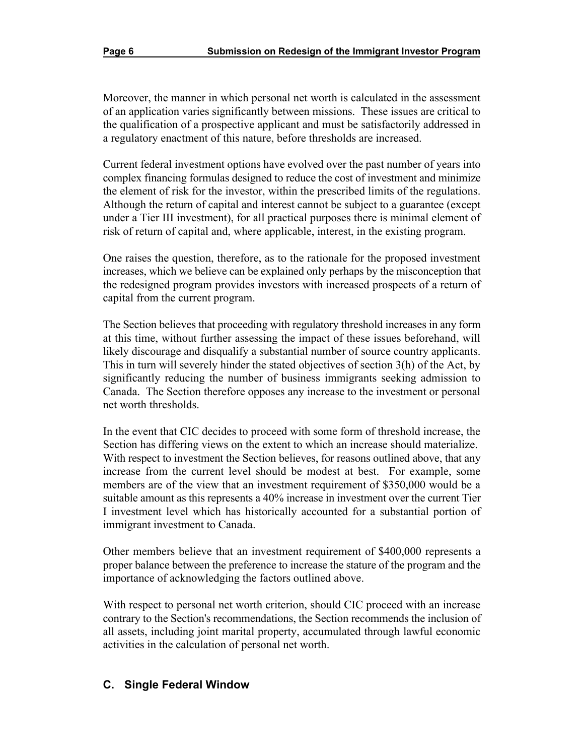Moreover, the manner in which personal net worth is calculated in the assessment of an application varies significantly between missions. These issues are critical to the qualification of a prospective applicant and must be satisfactorily addressed in a regulatory enactment of this nature, before thresholds are increased.

Current federal investment options have evolved over the past number of years into complex financing formulas designed to reduce the cost of investment and minimize the element of risk for the investor, within the prescribed limits of the regulations. Although the return of capital and interest cannot be subject to a guarantee (except under a Tier III investment), for all practical purposes there is minimal element of risk of return of capital and, where applicable, interest, in the existing program.

One raises the question, therefore, as to the rationale for the proposed investment increases, which we believe can be explained only perhaps by the misconception that the redesigned program provides investors with increased prospects of a return of capital from the current program.

The Section believes that proceeding with regulatory threshold increases in any form at this time, without further assessing the impact of these issues beforehand, will likely discourage and disqualify a substantial number of source country applicants. This in turn will severely hinder the stated objectives of section 3(h) of the Act, by significantly reducing the number of business immigrants seeking admission to Canada. The Section therefore opposes any increase to the investment or personal net worth thresholds.

In the event that CIC decides to proceed with some form of threshold increase, the Section has differing views on the extent to which an increase should materialize. With respect to investment the Section believes, for reasons outlined above, that any increase from the current level should be modest at best. For example, some members are of the view that an investment requirement of \$350,000 would be a suitable amount as this represents a 40% increase in investment over the current Tier I investment level which has historically accounted for a substantial portion of immigrant investment to Canada.

Other members believe that an investment requirement of \$400,000 represents a proper balance between the preference to increase the stature of the program and the importance of acknowledging the factors outlined above.

With respect to personal net worth criterion, should CIC proceed with an increase contrary to the Section's recommendations, the Section recommends the inclusion of all assets, including joint marital property, accumulated through lawful economic activities in the calculation of personal net worth.

#### **C. Single Federal Window**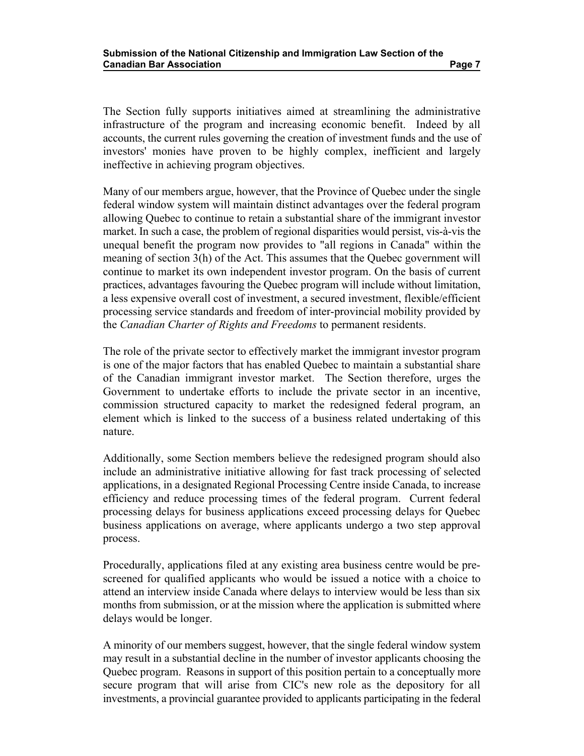The Section fully supports initiatives aimed at streamlining the administrative infrastructure of the program and increasing economic benefit. Indeed by all accounts, the current rules governing the creation of investment funds and the use of investors' monies have proven to be highly complex, inefficient and largely ineffective in achieving program objectives.

Many of our members argue, however, that the Province of Quebec under the single federal window system will maintain distinct advantages over the federal program allowing Quebec to continue to retain a substantial share of the immigrant investor market. In such a case, the problem of regional disparities would persist, vis-à-vis the unequal benefit the program now provides to "all regions in Canada" within the meaning of section 3(h) of the Act. This assumes that the Quebec government will continue to market its own independent investor program. On the basis of current practices, advantages favouring the Quebec program will include without limitation, a less expensive overall cost of investment, a secured investment, flexible/efficient processing service standards and freedom of inter-provincial mobility provided by the *Canadian Charter of Rights and Freedoms* to permanent residents.

The role of the private sector to effectively market the immigrant investor program is one of the major factors that has enabled Quebec to maintain a substantial share of the Canadian immigrant investor market. The Section therefore, urges the Government to undertake efforts to include the private sector in an incentive, commission structured capacity to market the redesigned federal program, an element which is linked to the success of a business related undertaking of this nature.

Additionally, some Section members believe the redesigned program should also include an administrative initiative allowing for fast track processing of selected applications, in a designated Regional Processing Centre inside Canada, to increase efficiency and reduce processing times of the federal program. Current federal processing delays for business applications exceed processing delays for Quebec business applications on average, where applicants undergo a two step approval process.

Procedurally, applications filed at any existing area business centre would be prescreened for qualified applicants who would be issued a notice with a choice to attend an interview inside Canada where delays to interview would be less than six months from submission, or at the mission where the application is submitted where delays would be longer.

A minority of our members suggest, however, that the single federal window system may result in a substantial decline in the number of investor applicants choosing the Quebec program. Reasons in support of this position pertain to a conceptually more secure program that will arise from CIC's new role as the depository for all investments, a provincial guarantee provided to applicants participating in the federal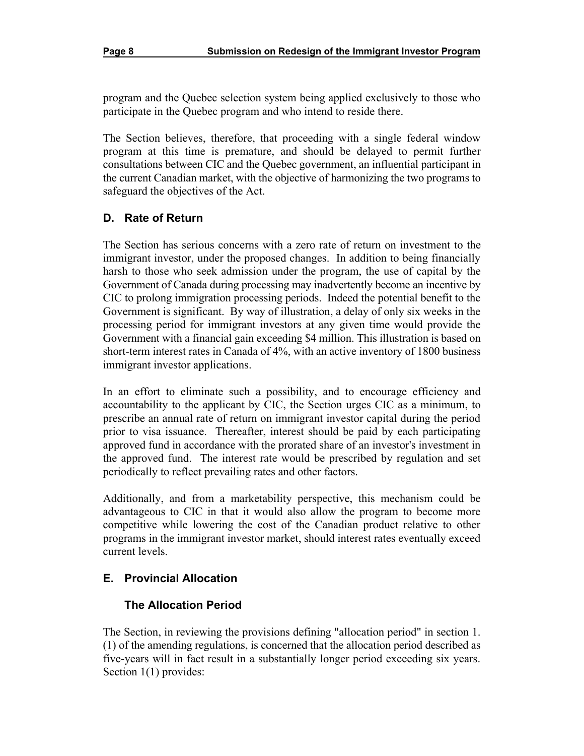program and the Quebec selection system being applied exclusively to those who participate in the Quebec program and who intend to reside there.

The Section believes, therefore, that proceeding with a single federal window program at this time is premature, and should be delayed to permit further consultations between CIC and the Quebec government, an influential participant in the current Canadian market, with the objective of harmonizing the two programs to safeguard the objectives of the Act.

#### **D. Rate of Return**

The Section has serious concerns with a zero rate of return on investment to the immigrant investor, under the proposed changes. In addition to being financially harsh to those who seek admission under the program, the use of capital by the Government of Canada during processing may inadvertently become an incentive by CIC to prolong immigration processing periods. Indeed the potential benefit to the Government is significant. By way of illustration, a delay of only six weeks in the processing period for immigrant investors at any given time would provide the Government with a financial gain exceeding \$4 million. This illustration is based on short-term interest rates in Canada of 4%, with an active inventory of 1800 business immigrant investor applications.

In an effort to eliminate such a possibility, and to encourage efficiency and accountability to the applicant by CIC, the Section urges CIC as a minimum, to prescribe an annual rate of return on immigrant investor capital during the period prior to visa issuance. Thereafter, interest should be paid by each participating approved fund in accordance with the prorated share of an investor's investment in the approved fund. The interest rate would be prescribed by regulation and set periodically to reflect prevailing rates and other factors.

Additionally, and from a marketability perspective, this mechanism could be advantageous to CIC in that it would also allow the program to become more competitive while lowering the cost of the Canadian product relative to other programs in the immigrant investor market, should interest rates eventually exceed current levels.

#### **E. Provincial Allocation**

#### **The Allocation Period**

The Section, in reviewing the provisions defining "allocation period" in section 1. (1) of the amending regulations, is concerned that the allocation period described as five-years will in fact result in a substantially longer period exceeding six years. Section 1(1) provides: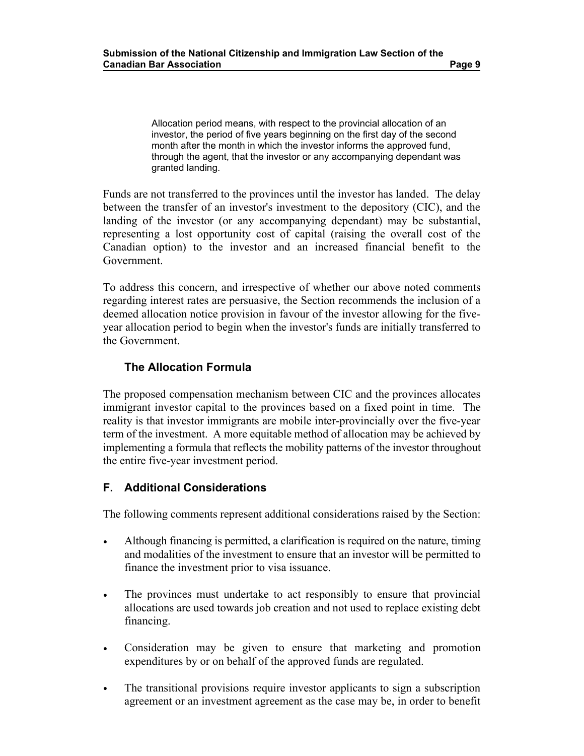Allocation period means, with respect to the provincial allocation of an investor, the period of five years beginning on the first day of the second month after the month in which the investor informs the approved fund, through the agent, that the investor or any accompanying dependant was granted landing.

Funds are not transferred to the provinces until the investor has landed. The delay between the transfer of an investor's investment to the depository (CIC), and the landing of the investor (or any accompanying dependant) may be substantial, representing a lost opportunity cost of capital (raising the overall cost of the Canadian option) to the investor and an increased financial benefit to the Government.

To address this concern, and irrespective of whether our above noted comments regarding interest rates are persuasive, the Section recommends the inclusion of a deemed allocation notice provision in favour of the investor allowing for the fiveyear allocation period to begin when the investor's funds are initially transferred to the Government.

#### **The Allocation Formula**

The proposed compensation mechanism between CIC and the provinces allocates immigrant investor capital to the provinces based on a fixed point in time. The reality is that investor immigrants are mobile inter-provincially over the five-year term of the investment. A more equitable method of allocation may be achieved by implementing a formula that reflects the mobility patterns of the investor throughout the entire five-year investment period.

#### **F. Additional Considerations**

The following comments represent additional considerations raised by the Section:

- Although financing is permitted, a clarification is required on the nature, timing and modalities of the investment to ensure that an investor will be permitted to finance the investment prior to visa issuance.
- The provinces must undertake to act responsibly to ensure that provincial allocations are used towards job creation and not used to replace existing debt financing.
- Consideration may be given to ensure that marketing and promotion expenditures by or on behalf of the approved funds are regulated.
- The transitional provisions require investor applicants to sign a subscription agreement or an investment agreement as the case may be, in order to benefit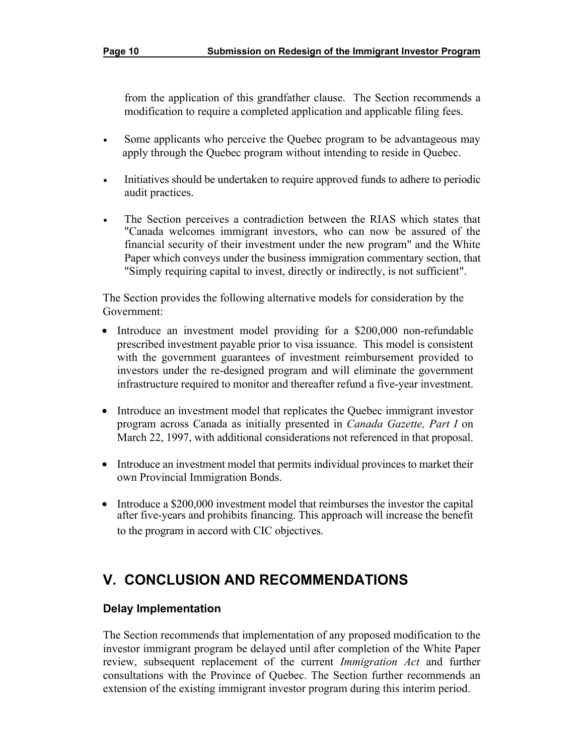from the application of this grandfather clause. The Section recommends a modification to require a completed application and applicable filing fees.

- Some applicants who perceive the Quebec program to be advantageous may apply through the Quebec program without intending to reside in Quebec.
- Initiatives should be undertaken to require approved funds to adhere to periodic audit practices.
- The Section perceives a contradiction between the RIAS which states that "Canada welcomes immigrant investors, who can now be assured of the financial security of their investment under the new program" and the White Paper which conveys under the business immigration commentary section, that "Simply requiring capital to invest, directly or indirectly, is not sufficient".

The Section provides the following alternative models for consideration by the Government:

- Introduce an investment model providing for a \$200,000 non-refundable prescribed investment payable prior to visa issuance. This model is consistent with the government guarantees of investment reimbursement provided to investors under the re-designed program and will eliminate the government infrastructure required to monitor and thereafter refund a five-year investment.
- Introduce an investment model that replicates the Quebec immigrant investor program across Canada as initially presented in *Canada Gazette, Part I* on March 22, 1997, with additional considerations not referenced in that proposal.
- Introduce an investment model that permits individual provinces to market their own Provincial Immigration Bonds.
- Introduce a \$200,000 investment model that reimburses the investor the capital after five-years and prohibits financing. This approach will increase the benefit to the program in accord with CIC objectives.

# **V. CONCLUSION AND RECOMMENDATIONS**

#### **Delay Implementation**

The Section recommends that implementation of any proposed modification to the investor immigrant program be delayed until after completion of the White Paper review, subsequent replacement of the current *Immigration Act* and further consultations with the Province of Quebec. The Section further recommends an extension of the existing immigrant investor program during this interim period.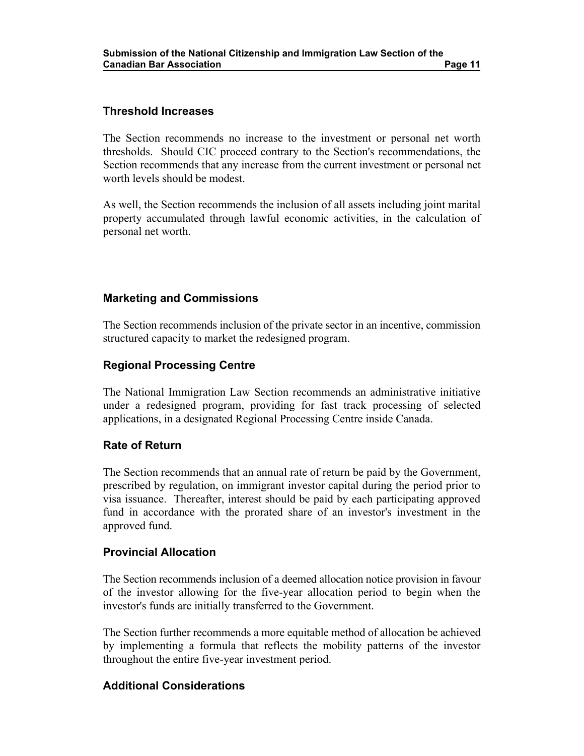#### **Threshold Increases**

The Section recommends no increase to the investment or personal net worth thresholds. Should CIC proceed contrary to the Section's recommendations, the Section recommends that any increase from the current investment or personal net worth levels should be modest.

As well, the Section recommends the inclusion of all assets including joint marital property accumulated through lawful economic activities, in the calculation of personal net worth.

#### **Marketing and Commissions**

The Section recommends inclusion of the private sector in an incentive, commission structured capacity to market the redesigned program.

#### **Regional Processing Centre**

The National Immigration Law Section recommends an administrative initiative under a redesigned program, providing for fast track processing of selected applications, in a designated Regional Processing Centre inside Canada.

#### **Rate of Return**

The Section recommends that an annual rate of return be paid by the Government, prescribed by regulation, on immigrant investor capital during the period prior to visa issuance. Thereafter, interest should be paid by each participating approved fund in accordance with the prorated share of an investor's investment in the approved fund.

#### **Provincial Allocation**

The Section recommends inclusion of a deemed allocation notice provision in favour of the investor allowing for the five-year allocation period to begin when the investor's funds are initially transferred to the Government.

The Section further recommends a more equitable method of allocation be achieved by implementing a formula that reflects the mobility patterns of the investor throughout the entire five-year investment period.

#### **Additional Considerations**